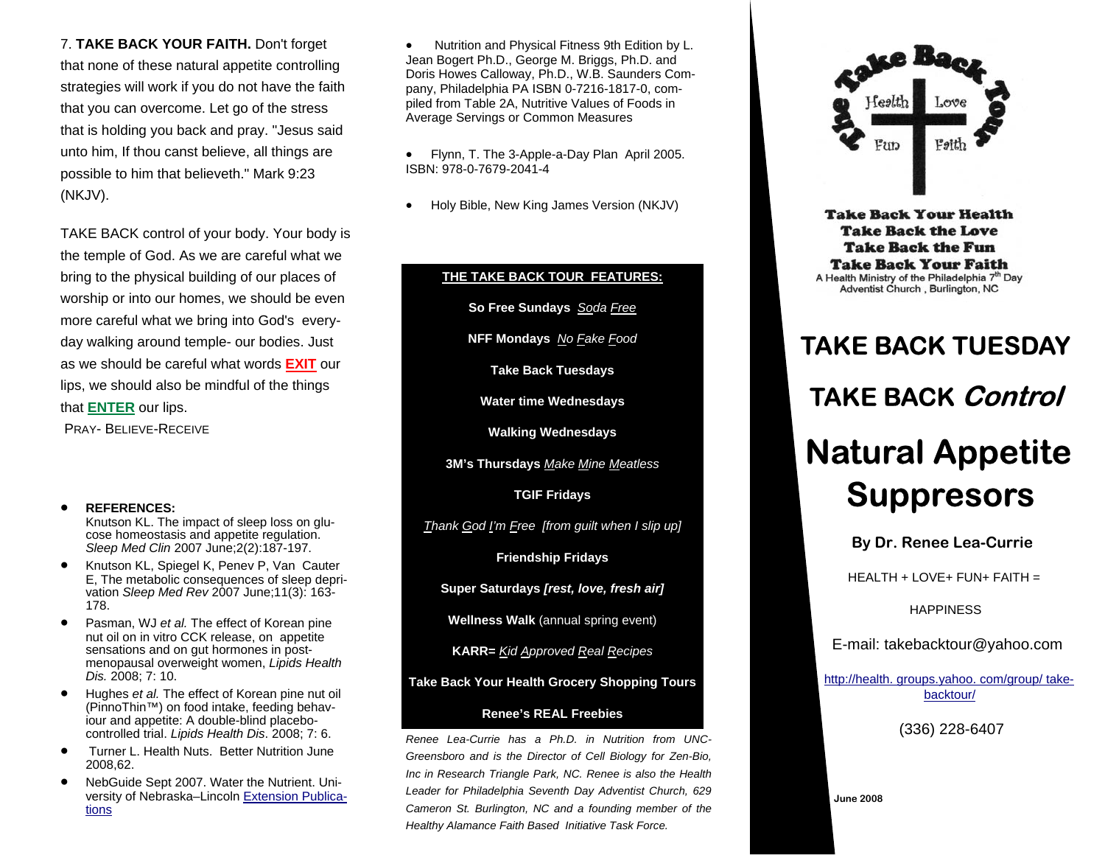7. **TAKE BACK YOUR FAITH.** Don't forget that none of these natural appetite controlling strategies will work if you do not have the faith that you can overcome. Let go of the stress that is holding you back and pray. "Jesus said unto him, If thou canst believe, all things are possible to him that believeth." Mark 9:23 (NKJV).

TAKE BACK control of your body. Your body is the temple of God. As we are careful what we bring to the physical building of our places of worship or into our homes, we should be even more careful what we bring into God's everyday walking around temple- our bodies. Just as we should be careful what words **EXIT** our lips, we should also be mindful of the things that **ENTER** our lips. PRAY- BELIEVE-RECEIVE

## • **REFERENCES:**

Knutson KL. The impact of sleep loss on glucose homeostasis and appetite regulation. *Sleep Med Clin* 2007 June;2(2):187-197.

- Knutson KL, Spiegel K, Penev P, Van Cauter E, The metabolic consequences of sleep deprivation *Sleep Med Rev* 2007 June;11(3): 163- 178.
- Pasman, WJ *et al.* The effect of Korean pine nut oil on in vitro CCK release, on appetite sensations and on gut hormones in postmenopausal overweight women, *Lipids Health Dis.* 2008; 7: 10.
- Hughes *et al.* The effect of Korean pine nut oil (PinnoThin™) on food intake, feeding behaviour and appetite: A double-blind placebocontrolled trial. *Lipids Health Dis*. 2008; 7: 6.
- Turner L. Health Nuts. Better Nutrition June 2008,62.
- NebGuide Sept 2007. Water the Nutrient. University of Nebraska–Lincoln Extension Publications

• Nutrition and Physical Fitness 9th Edition by L. Jean Bogert Ph.D., George M. Briggs, Ph.D. and Doris Howes Calloway, Ph.D., W.B. Saunders Company, Philadelphia PA ISBN 0-7216-1817-0, compiled from Table 2A, Nutritive Values of Foods in Average Servings or Common Measures

• Flynn, T. The 3-Apple-a-Day Plan April 2005. ISBN: 978-0-7679-2041-4

• Holy Bible, New King James Version (NKJV)

## **THE TAKE BACK TOUR FEATURES: So Free Sundays** *Soda Free* **NFF Mondays**  *No Fake Food*  **Take Back Tuesdays Water time Wednesdays Walking Wednesdays 3M's Thursdays**  *Make Mine Meatless*  **TGIF Fridays**  *Thank God I'm Free [from guilt when I slip up]*  **Friendship Fridays Super Saturdays** *[rest, love, fresh air]* **Wellness Walk** (annual spring event) **KARR=**  *Kid Approved Real Recipes*  **Take Back Your Health Grocery Shopping Tours Renee's REAL Freebies** *Renee Lea-Currie has a Ph.D. in Nutrition from UNC-Greensboro and is the Director of Cell Biology for Zen-Bio, Inc in Research Triangle Park, NC. Renee is also the Health Leader for Philadelphia Seventh Day Adventist Church, 629 Cameron St. Burlington, NC and a founding member of the Healthy Alamance Faith Based Initiative Task Force.*



**Take Back Your Health Take Back the Love Take Back the Fun Take Back Your Faith** A Health Ministry of the Philadelphia 7<sup>th</sup> Day Adventist Church, Burlington, NC

## **TAKE BACK TUESDAY TAKE BACK Control Natural Appetite Suppresors**

**By Dr. Renee Lea-Currie** 

 $HEALTH + LOVE + FUN + FAITH =$ 

**HAPPINESS** 

E-mail: takebacktour@yahoo.com

http://health. groups.yahoo. com/group/ takebacktour/

(336) 228-6407

**June 2008**